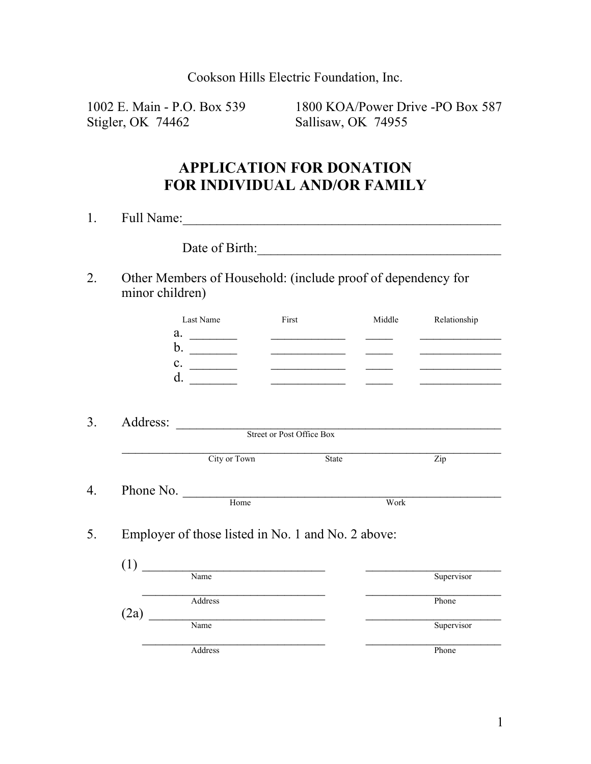Cookson Hills Electric Foundation, Inc.

Stigler, OK 74462 Sallisaw, OK 74955

1002 E. Main - P.O. Box 539 1800 KOA/Power Drive -PO Box 587

# **APPLICATION FOR DONATION FOR INDIVIDUAL AND/OR FAMILY**

| 1. | Full Name:<br>uu |  |  |
|----|------------------|--|--|
|    |                  |  |  |

Date of Birth:

2. Other Members of Household: (include proof of dependency for minor children)

| Last Name | First | Middle | Relationship |
|-----------|-------|--------|--------------|
| a.        |       |        |              |
| b.        |       |        |              |
| c.        |       |        |              |
| d.        |       |        |              |
|           |       |        |              |

3. Address: \_\_\_\_\_\_\_\_\_\_\_\_\_\_\_\_\_\_\_\_\_\_\_\_\_\_\_\_\_\_\_\_\_\_\_\_\_\_\_\_\_\_\_\_\_\_\_\_ Street or Post Office Box

|    |           | City or Town | State | Zip  |  |
|----|-----------|--------------|-------|------|--|
|    |           |              |       |      |  |
| 4. | Phone No. |              |       |      |  |
|    |           | Home         |       | Work |  |

5. Employer of those listed in No. 1 and No. 2 above:

| (1   |         |            |
|------|---------|------------|
|      | Name    | Supervisor |
|      | Address | Phone      |
| (2a) |         |            |
|      | Name    | Supervisor |
|      |         |            |
|      | Address | Phone      |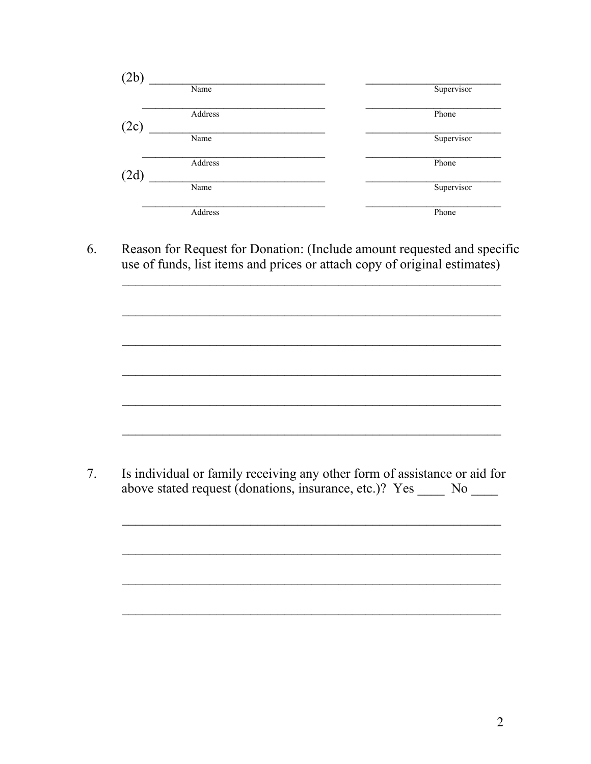| (2b) |         |            |
|------|---------|------------|
|      | Name    | Supervisor |
| (2c) | Address | Phone      |
|      | Name    | Supervisor |
| (2d) | Address | Phone      |
|      | Name    | Supervisor |
|      | Address | Phone      |

Reason for Request for Donation: (Include amount requested and specific 6. use of funds, list items and prices or attach copy of original estimates)

 $7.$ Is individual or family receiving any other form of assistance or aid for above stated request (donations, insurance, etc.)? Yes No

<u> 1989 - Johann John Harry Barbara, martin din 1980 - John Harry Barbara, martin din 1980 - John Harry Barbara</u>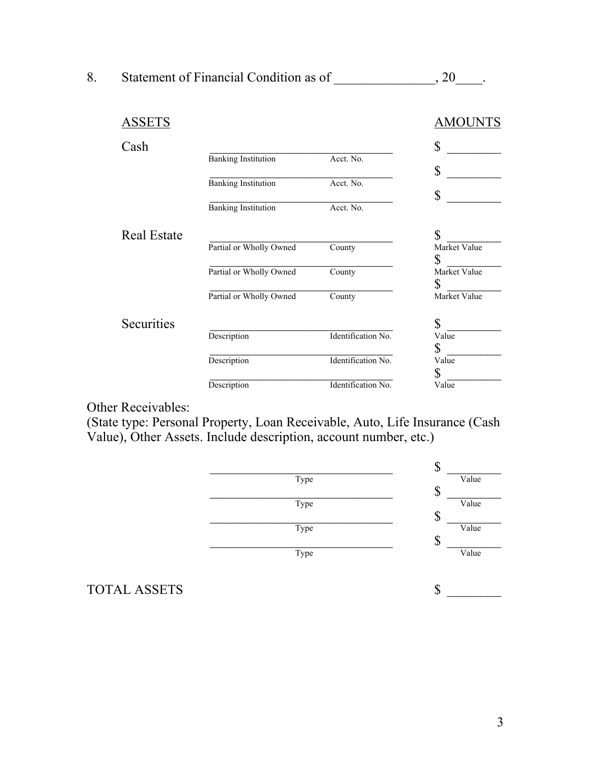| 8. | Statement of Financial Condition as of |         |
|----|----------------------------------------|---------|
|    |                                        |         |
|    | <b>ASSETS</b>                          | AMOUNTS |

| Cash               |                            |                    | \$                 |
|--------------------|----------------------------|--------------------|--------------------|
|                    | <b>Banking Institution</b> | Acct. No.          |                    |
|                    | <b>Banking Institution</b> | Acct. No.          | \$                 |
|                    | <b>Banking Institution</b> | Acct. No.          | \$                 |
| <b>Real Estate</b> |                            |                    | \$                 |
|                    | Partial or Wholly Owned    | County             | Market Value<br>\$ |
|                    | Partial or Wholly Owned    | County             | Market Value       |
|                    | Partial or Wholly Owned    | County             | \$<br>Market Value |
| Securities         |                            |                    | $\mathbb S$        |
|                    | Description                | Identification No. | Value<br>\$        |
|                    | Description                | Identification No. | Value              |
|                    | Description                | Identification No. | \$<br>Value        |

Other Receivables:

(State type: Personal Property, Loan Receivable, Auto, Life Insurance (Cash Value), Other Assets. Include description, account number, etc.)



TOTAL ASSETS  $\qquad \qquad$  \$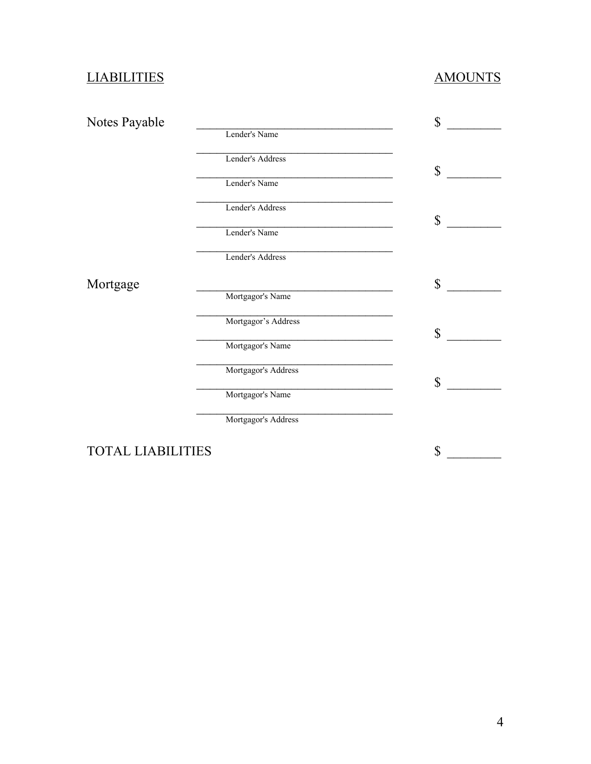# LIABILITIES AMOUNTS

| Notes Payable            |                     | $\mathbf{\hat{S}}$ |
|--------------------------|---------------------|--------------------|
|                          | Lender's Name       |                    |
|                          | Lender's Address    | \$                 |
|                          | Lender's Name       |                    |
|                          | Lender's Address    |                    |
|                          | Lender's Name       | $\mathbb S$        |
|                          | Lender's Address    |                    |
| Mortgage                 |                     | \$                 |
|                          | Mortgagor's Name    |                    |
|                          | Mortgagor's Address | \$                 |
|                          | Mortgagor's Name    |                    |
|                          | Mortgagor's Address | \$                 |
|                          | Mortgagor's Name    |                    |
|                          | Mortgagor's Address |                    |
| <b>TOTAL LIABILITIES</b> |                     | $\mathbb S$        |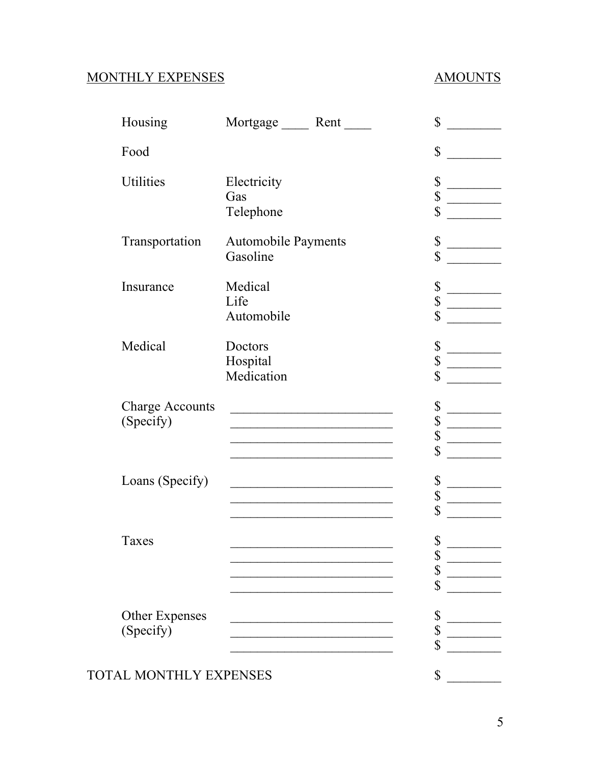## MONTHLY EXPENSES AMOUNTS

| Housing                | Mortgage Rent                                                                                                       | \$          |
|------------------------|---------------------------------------------------------------------------------------------------------------------|-------------|
| Food                   |                                                                                                                     | \$          |
| <b>Utilities</b>       | Electricity                                                                                                         | \$          |
|                        | Gas                                                                                                                 | \$          |
|                        | Telephone                                                                                                           | $\mathbb S$ |
| Transportation         | <b>Automobile Payments</b>                                                                                          | \$          |
|                        | Gasoline                                                                                                            | $\mathbb S$ |
| Insurance              | Medical                                                                                                             | \$          |
|                        | Life                                                                                                                | \$          |
|                        | Automobile                                                                                                          | $\mathbb S$ |
| Medical                | Doctors                                                                                                             | \$          |
|                        | Hospital                                                                                                            | \$          |
|                        | Medication                                                                                                          | \$          |
| <b>Charge Accounts</b> | <u> 1980 - Johann Barn, mars ann an t-Amhair an t-Amhair an t-Amhair an t-Amhair an t-Amhair an t-Amhair an t-A</u> | \$          |
| (Specify)              | the control of the control of the control of the control of the control of                                          | \$          |
|                        | the control of the control of the control of the control of the control of                                          | \$          |
|                        |                                                                                                                     | \$          |
| Loans (Specify)        | <u> 1990 - Johann John Stone, mars eta bainar eta erritmentala</u>                                                  | \$          |
|                        |                                                                                                                     | \$          |
|                        |                                                                                                                     | \$          |
| Taxes                  |                                                                                                                     | \$          |
|                        |                                                                                                                     | \$          |
|                        |                                                                                                                     | \$          |
|                        |                                                                                                                     | \$          |
| <b>Other Expenses</b>  |                                                                                                                     | \$          |
| (Specify)              |                                                                                                                     | \$          |
|                        |                                                                                                                     | \$          |
| TOTAL MONTHLY EXPENSES |                                                                                                                     | \$          |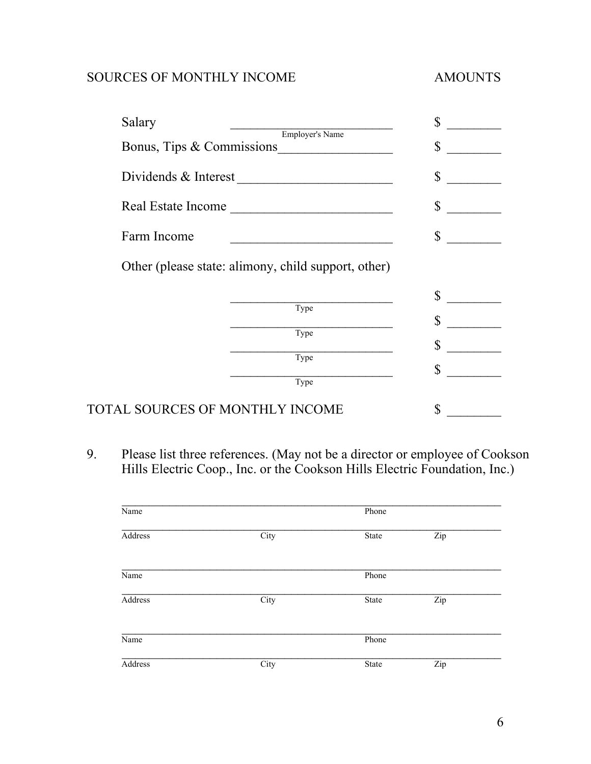### SOURCES OF MONTHLY INCOME AMOUNTS

| Salary                    |                                                     | \$          |
|---------------------------|-----------------------------------------------------|-------------|
|                           | Employer's Name<br>Bonus, Tips & Commissions        | \$          |
| Dividends & Interest      | <u> 1980 - Jan Sarajević, politik po</u>            | \$          |
| <b>Real Estate Income</b> |                                                     | \$          |
| Farm Income               |                                                     | \$          |
|                           | Other (please state: alimony, child support, other) |             |
|                           |                                                     | \$          |
|                           | Type<br>Type                                        | $\mathbb S$ |
|                           | Type                                                | $\mathbb S$ |
|                           | Type                                                | $\mathbb S$ |

9. Please list three references. (May not be a director or employee of Cookson Hills Electric Coop., Inc. or the Cookson Hills Electric Foundation, Inc.)

| Name           |      | Phone |     |  |
|----------------|------|-------|-----|--|
| <b>Address</b> | City | State | Zip |  |
| Name           |      | Phone |     |  |
| <b>Address</b> | City | State | Zip |  |
| Name           |      | Phone |     |  |
| Address        | City | State | Zip |  |